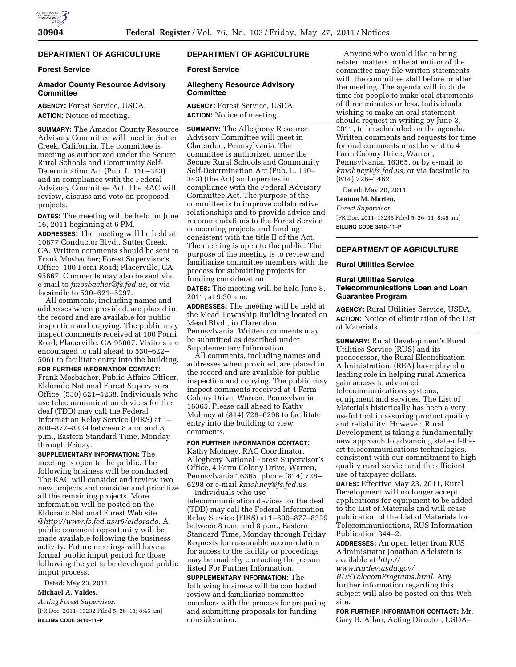# **DEPARTMENT OF AGRICULTURE**

### **Forest Service**

### **Amador County Resource Advisory Committee**

**AGENCY:** Forest Service, USDA. **ACTION:** Notice of meeting.

**SUMMARY:** The Amador County Resource Advisory Committee will meet in Sutter Creek, California. The committee is meeting as authorized under the Secure Rural Schools and Community Self-Determination Act (Pub. L. 110–343) and in compliance with the Federal Advisory Committee Act. The RAC will review, discuss and vote on proposed projects.

**DATES:** The meeting will be held on June 16, 2011 beginning at 6 PM. **ADDRESSES:** The meeting will be held at 10877 Conductor Blvd., Sutter Creek, CA. Written comments should be sent to Frank Mosbacher; Forest Supervisor's Office; 100 Forni Road; Placerville, CA 95667. Comments may also be sent via e-mail to *[fmosbacher@fs.fed.us,](mailto:fmosbacher@fs.fed.us)* or via facsimile to 530–621–5297.

All comments, including names and addresses when provided, are placed in the record and are available for public inspection and copying. The public may inspect comments received at 100 Forni Road; Placerville, CA 95667. Visitors are encouraged to call ahead to 530–622– 5061 to facilitate entry into the building.

**FOR FURTHER INFORMATION CONTACT:**  Frank Mosbacher, Public Affairs Officer, Eldorado National Forest Supervisors Office, (530) 621–5268. Individuals who use telecommunication devices for the deaf (TDD) may call the Federal Information Relay Service (FIRS) at 1– 800–877–8339 between 8 a.m. and 8 p.m., Eastern Standard Time, Monday through Friday.

**SUPPLEMENTARY INFORMATION:** The meeting is open to the public. The following business will be conducted: The RAC will consider and review two new projects and consider and prioritize all the remaining projects. More information will be posted on the Eldorado National Forest Web site @*[http://www.fs.fed.us/r5/eldorado.](http://www.fs.fed.us/r5/eldorado)* A public comment opportunity will be made available following the business activity. Future meetings will have a formal public imput period for those following the yet to be developed public imput process.

Dated: May 23, 2011.

**Michael A. Valdes,**  *Acting Forest Supervisor.*  [FR Doc. 2011–13232 Filed 5–26–11; 8:45 am] **BILLING CODE 3410–11–P** 

## **DEPARTMENT OF AGRICULTURE**

#### **Forest Service**

#### **Allegheny Resource Advisory Committee**

**AGENCY:** Forest Service, USDA. **ACTION:** Notice of meeting.

**SUMMARY:** The Allegheny Resource Advisory Committee will meet in Clarendon, Pennsylvania. The committee is authorized under the Secure Rural Schools and Community Self-Determination Act (Pub. L. 110– 343) (the Act) and operates in compliance with the Federal Advisory Committee Act. The purpose of the committee is to improve collaborative relationships and to provide advice and recommendations to the Forest Service concerning projects and funding consistent with the title II of the Act. The meeting is open to the public. The purpose of the meeting is to review and familiarize committee members with the process for submitting projects for funding consideration.

**DATES:** The meeting will be held June 8, 2011, at 9:30 a.m.

**ADDRESSES:** The meeting will be held at the Mead Township Building located on Mead Blvd., in Clarendon, Pennsylvania. Written comments may be submitted as described under Supplementary Information.

All comments, including names and addresses when provided, are placed in the record and are available for public inspection and copying. The public may inspect comments received at 4 Farm Colony Drive, Warren, Pennsylvania 16365. Please call ahead to Kathy Mohney at (814) 728–6298 to facilitate entry into the building to view comments.

**FOR FURTHER INFORMATION CONTACT:**  Kathy Mohney, RAC Coordinator, Allegheny National Forest Supervisor's Office, 4 Farm Colony Drive, Warren, Pennsylvania 16365, phone (814) 728– 6298 or e-mail *[kmohney@fs.fed.us.](mailto:kmohney@fs.fed.us)*  Individuals who use

telecommunication devices for the deaf (TDD) may call the Federal Information Relay Service (FIRS) at 1–800–877–8339 between 8 a.m. and 8 p.m., Eastern Standard Time, Monday through Friday. Requests for reasonable accomodation for access to the facility or procedings may be made by contacting the person listed For Further Information.

**SUPPLEMENTARY INFORMATION:** The following business will be conducted: review and familiarize committee members with the process for preparing and submitting proposals for funding consideration.

Anyone who would like to bring related matters to the attention of the committee may file written statements with the committee staff before or after the meeting. The agenda will include time for people to make oral statements of three minutes or less. Individuals wishing to make an oral statement should request in writing by June 3, 2011, to be scheduled on the agenda. Written comments and requests for time for oral comments must be sent to 4 Farm Colony Drive, Warren, Pennsylvania, 16365, or by e-mail to *[kmohney@fs.fed.us,](mailto:kmohney@fs.fed.us)* or via facsimile to (814) 726–1462.

Dated: May 20, 2011.

### **Leanne M. Marten,**

*Forest Supervisor.*  [FR Doc. 2011–13236 Filed 5–26–11; 8:45 am] **BILLING CODE 3410–11–P** 

# **DEPARTMENT OF AGRICULTURE**

### **Rural Utilities Service**

#### **Rural Utilities Service Telecommunications Loan and Loan Guarantee Program**

**AGENCY:** Rural Utilities Service, USDA. **ACTION:** Notice of elimination of the List of Materials.

**SUMMARY:** Rural Development's Rural Utilities Service (RUS) and its predecessor, the Rural Electrification Administration, (REA) have played a leading role in helping rural America gain access to advanced telecommunications systems, equipment and services. The List of Materials historically has been a very useful tool in assuring product quality and reliability. However, Rural Development is taking a fundamentally new approach to advancing state-of-theart telecommunications technologies, consistent with our commitment to high quality rural service and the efficient use of taxpayer dollars.

**DATES:** Effective May 23, 2011, Rural Development will no longer accept applications for equipment to be added to the List of Materials and will cease publication of the List of Materials for Telecommunications, RUS Information Publication 344–2.

**ADDRESSES:** An open letter from RUS Administrator Jonathan Adelstein is available at *[http://](http://www.rurdev.usda.gov/RUSTelecomPrograms.html)* 

*[www.rurdev.usda.gov/](http://www.rurdev.usda.gov/RUSTelecomPrograms.html)  [RUSTelecomPrograms.html.](http://www.rurdev.usda.gov/RUSTelecomPrograms.html)* Any further information regarding this subject will also be posted on this Web site.

**FOR FURTHER INFORMATION CONTACT:** Mr. Gary B. Allan, Acting Director, USDA–